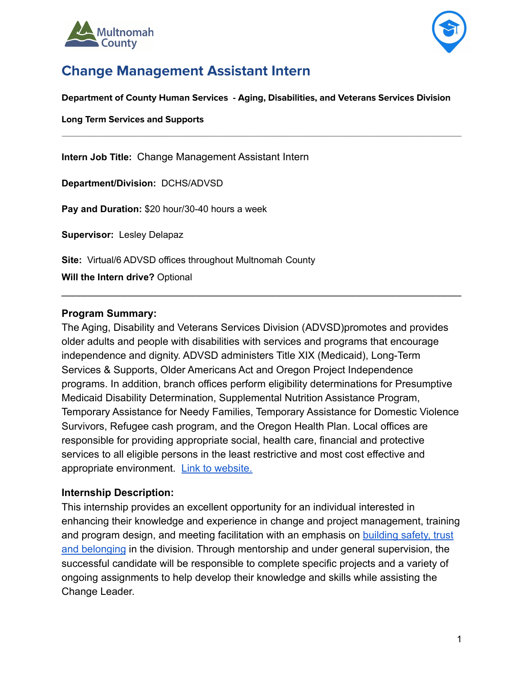



# **Change Management Assistant Intern**

**Department of County Human Services - Aging, Disabilities, and Veterans Services Division**

 $\mathcal{L}_\text{max} = \mathcal{L}_\text{max} = \mathcal{L}_\text{max} = \mathcal{L}_\text{max} = \mathcal{L}_\text{max} = \mathcal{L}_\text{max} = \mathcal{L}_\text{max} = \mathcal{L}_\text{max} = \mathcal{L}_\text{max} = \mathcal{L}_\text{max} = \mathcal{L}_\text{max} = \mathcal{L}_\text{max} = \mathcal{L}_\text{max} = \mathcal{L}_\text{max} = \mathcal{L}_\text{max} = \mathcal{L}_\text{max} = \mathcal{L}_\text{max} = \mathcal{L}_\text{max} = \mathcal{$ 

**Long Term Services and Supports**

**Intern Job Title:** Change Management Assistant Intern

**Department/Division:** DCHS/ADVSD

**Pay and Duration:** \$20 hour/30-40 hours a week

**Supervisor:** Lesley Delapaz

**Site:** Virtual/6 ADVSD offices throughout Multnomah County

**Will the Intern drive?** Optional

#### **Program Summary:**

The Aging, Disability and Veterans Services Division (ADVSD)promotes and provides older adults and people with disabilities with services and programs that encourage independence and dignity. ADVSD administers Title XIX (Medicaid), Long-Term Services & Supports, Older Americans Act and Oregon Project Independence programs. In addition, branch offices perform eligibility determinations for Presumptive Medicaid Disability Determination, Supplemental Nutrition Assistance Program, Temporary Assistance for Needy Families, Temporary Assistance for Domestic Violence Survivors, Refugee cash program, and the Oregon Health Plan. Local offices are responsible for providing appropriate social, health care, financial and protective services to all eligible persons in the least restrictive and most cost effective and appropriate environment. [Link to website.](https://multco.us/ads)

 $\mathcal{L}_\text{max} = \mathcal{L}_\text{max} = \mathcal{L}_\text{max} = \mathcal{L}_\text{max} = \mathcal{L}_\text{max} = \mathcal{L}_\text{max} = \mathcal{L}_\text{max} = \mathcal{L}_\text{max} = \mathcal{L}_\text{max} = \mathcal{L}_\text{max} = \mathcal{L}_\text{max} = \mathcal{L}_\text{max} = \mathcal{L}_\text{max} = \mathcal{L}_\text{max} = \mathcal{L}_\text{max} = \mathcal{L}_\text{max} = \mathcal{L}_\text{max} = \mathcal{L}_\text{max} = \mathcal{$ 

#### **Internship Description:**

This internship provides an excellent opportunity for an individual interested in enhancing their knowledge and experience in change and project management, training and program design, and meeting facilitation with an emphasis on [building safety, trust](https://multco.us/safety-trust-and-belonging-workforce-equity-initiative) [and belonging](https://multco.us/safety-trust-and-belonging-workforce-equity-initiative) in the division. Through mentorship and under general supervision, the successful candidate will be responsible to complete specific projects and a variety of ongoing assignments to help develop their knowledge and skills while assisting the Change Leader.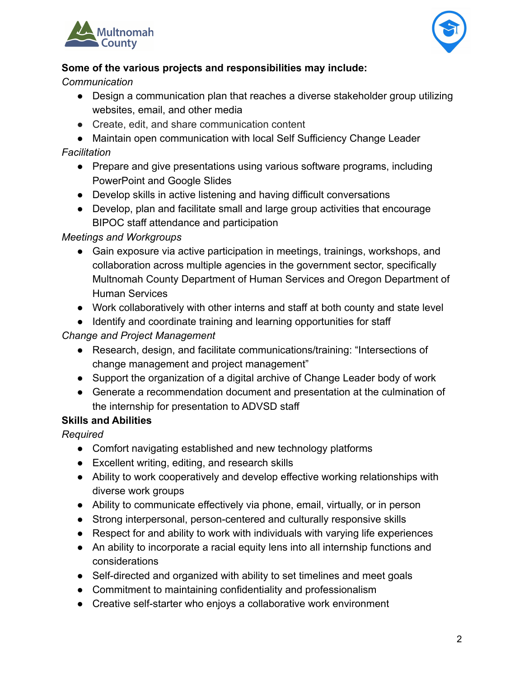



### **Some of the various projects and responsibilities may include:**

*Communication*

- Design a communication plan that reaches a diverse stakeholder group utilizing websites, email, and other media
- Create, edit, and share communication content
- Maintain open communication with local Self Sufficiency Change Leader

#### *Facilitation*

- Prepare and give presentations using various software programs, including PowerPoint and Google Slides
- Develop skills in active listening and having difficult conversations
- Develop, plan and facilitate small and large group activities that encourage BIPOC staff attendance and participation

### *Meetings and Workgroups*

- Gain exposure via active participation in meetings, trainings, workshops, and collaboration across multiple agencies in the government sector, specifically Multnomah County Department of Human Services and Oregon Department of Human Services
- Work collaboratively with other interns and staff at both county and state level
- Identify and coordinate training and learning opportunities for staff

## *Change and Project Management*

- Research, design, and facilitate communications/training: "Intersections of change management and project management"
- Support the organization of a digital archive of Change Leader body of work
- Generate a recommendation document and presentation at the culmination of the internship for presentation to ADVSD staff

### **Skills and Abilities**

*Required*

- Comfort navigating established and new technology platforms
- Excellent writing, editing, and research skills
- Ability to work cooperatively and develop effective working relationships with diverse work groups
- Ability to communicate effectively via phone, email, virtually, or in person
- Strong interpersonal, person-centered and culturally responsive skills
- Respect for and ability to work with individuals with varying life experiences
- An ability to incorporate a racial equity lens into all internship functions and considerations
- Self-directed and organized with ability to set timelines and meet goals
- Commitment to maintaining confidentiality and professionalism
- Creative self-starter who enjoys a collaborative work environment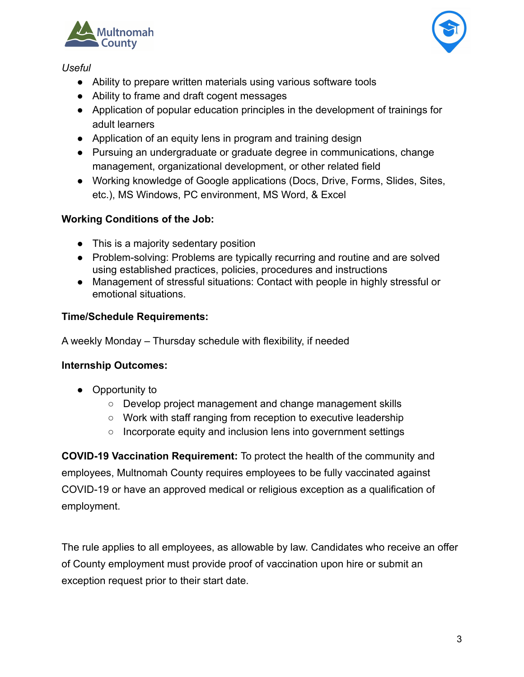



#### *Useful*

- Ability to prepare written materials using various software tools
- Ability to frame and draft cogent messages
- Application of popular education principles in the development of trainings for adult learners
- Application of an equity lens in program and training design
- Pursuing an undergraduate or graduate degree in communications, change management, organizational development, or other related field
- Working knowledge of Google applications (Docs, Drive, Forms, Slides, Sites, etc.), MS Windows, PC environment, MS Word, & Excel

### **Working Conditions of the Job:**

- This is a majority sedentary position
- Problem-solving: Problems are typically recurring and routine and are solved using established practices, policies, procedures and instructions
- Management of stressful situations: Contact with people in highly stressful or emotional situations.

### **Time/Schedule Requirements:**

A weekly Monday – Thursday schedule with flexibility, if needed

### **Internship Outcomes:**

- Opportunity to
	- Develop project management and change management skills
	- Work with staff ranging from reception to executive leadership
	- Incorporate equity and inclusion lens into government settings

**COVID-19 Vaccination Requirement:** To protect the health of the community and employees, Multnomah County requires employees to be fully vaccinated against COVID-19 or have an approved medical or religious exception as a qualification of employment.

The rule applies to all employees, as allowable by law. Candidates who receive an offer of County employment must provide proof of vaccination upon hire or submit an exception request prior to their start date.